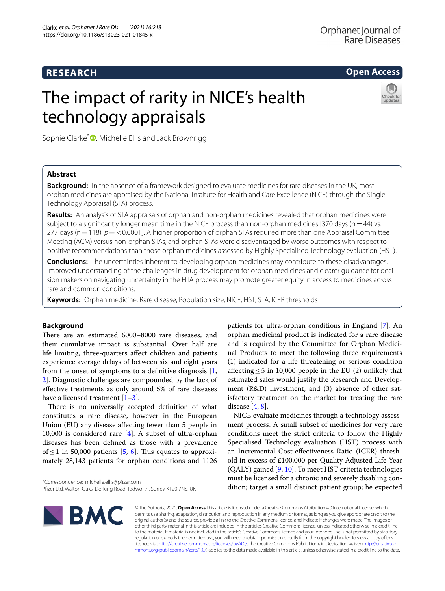## **RESEARCH**

**Open Access**

# The impact of rarity in NICE's health technology appraisals



Sophie Clarke<sup>[\\*](http://orcid.org/0000-0001-9236-9013)</sup><sup>O</sup>, Michelle Ellis and Jack Brownrigg

## **Abstract**

**Background:** In the absence of a framework designed to evaluate medicines for rare diseases in the UK, most orphan medicines are appraised by the National Institute for Health and Care Excellence (NICE) through the Single Technology Appraisal (STA) process.

**Results:** An analysis of STA appraisals of orphan and non-orphan medicines revealed that orphan medicines were subject to a significantly longer mean time in the NICE process than non-orphan medicines [370 days ( $n=44$ ) vs. 277 days (n = 118),  $p = < 0.0001$ ]. A higher proportion of orphan STAs required more than one Appraisal Committee Meeting (ACM) versus non-orphan STAs, and orphan STAs were disadvantaged by worse outcomes with respect to positive recommendations than those orphan medicines assessed by Highly Specialised Technology evaluation (HST).

**Conclusions:** The uncertainties inherent to developing orphan medicines may contribute to these disadvantages. Improved understanding of the challenges in drug development for orphan medicines and clearer guidance for decision makers on navigating uncertainty in the HTA process may promote greater equity in access to medicines across rare and common conditions.

**Keywords:** Orphan medicine, Rare disease, Population size, NICE, HST, STA, ICER thresholds

## **Background**

There are an estimated 6000–8000 rare diseases, and their cumulative impact is substantial. Over half are life limiting, three-quarters afect children and patients experience average delays of between six and eight years from the onset of symptoms to a definitive diagnosis  $[1, 1]$  $[1, 1]$ [2\]](#page-6-1). Diagnostic challenges are compounded by the lack of efective treatments as only around 5% of rare diseases have a licensed treatment  $[1-3]$  $[1-3]$ .

There is no universally accepted definition of what constitutes a rare disease, however in the European Union (EU) any disease afecting fewer than 5 people in 10,000 is considered rare [\[4](#page-6-3)]. A subset of ultra-orphan diseases has been defned as those with a prevalence of  $\leq$  1 in 50,000 patients [\[5](#page-6-4), [6\]](#page-6-5). This equates to approximately 28,143 patients for orphan conditions and 1126

\*Correspondence: michelle.ellis@pfzer.com

patients for ultra-orphan conditions in England [\[7](#page-6-6)]. An orphan medicinal product is indicated for a rare disease and is required by the Committee for Orphan Medicinal Products to meet the following three requirements (1) indicated for a life threatening or serious condition afecting≤5 in 10,000 people in the EU (2) unlikely that estimated sales would justify the Research and Development (R&D) investment, and (3) absence of other satisfactory treatment on the market for treating the rare disease [\[4](#page-6-3), [8\]](#page-6-7).

NICE evaluate medicines through a technology assessment process. A small subset of medicines for very rare conditions meet the strict criteria to follow the Highly Specialised Technology evaluation (HST) process with an Incremental Cost-efectiveness Ratio (ICER) threshold in excess of £100,000 per Quality Adjusted Life Year (QALY) gained [[9,](#page-6-8) [10\]](#page-6-9). To meet HST criteria technologies must be licensed for a chronic and severely disabling condition; target a small distinct patient group; be expected



© The Author(s) 2021. **Open Access** This article is licensed under a Creative Commons Attribution 4.0 International License, which permits use, sharing, adaptation, distribution and reproduction in any medium or format, as long as you give appropriate credit to the original author(s) and the source, provide a link to the Creative Commons licence, and indicate if changes were made. The images or other third party material in this article are included in the article's Creative Commons licence, unless indicated otherwise in a credit line to the material. If material is not included in the article's Creative Commons licence and your intended use is not permitted by statutory regulation or exceeds the permitted use, you will need to obtain permission directly from the copyright holder. To view a copy of this licence, visit [http://creativecommons.org/licenses/by/4.0/.](http://creativecommons.org/licenses/by/4.0/) The Creative Commons Public Domain Dedication waiver ([http://creativeco](http://creativecommons.org/publicdomain/zero/1.0/) [mmons.org/publicdomain/zero/1.0/](http://creativecommons.org/publicdomain/zero/1.0/)) applies to the data made available in this article, unless otherwise stated in a credit line to the data.

Pfzer Ltd, Walton Oaks, Dorking Road, Tadworth, Surrey KT20 7NS, UK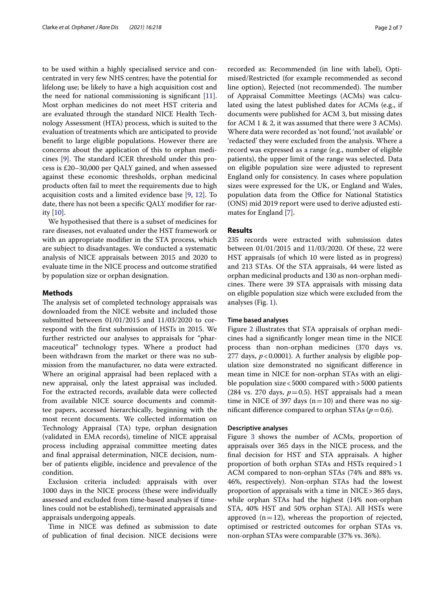to be used within a highly specialised service and concentrated in very few NHS centres; have the potential for lifelong use; be likely to have a high acquisition cost and the need for national commissioning is signifcant [\[11](#page-6-10)]. Most orphan medicines do not meet HST criteria and are evaluated through the standard NICE Health Technology Assessment (HTA) process, which is suited to the evaluation of treatments which are anticipated to provide beneft to large eligible populations. However there are concerns about the application of this to orphan medicines  $[9]$  $[9]$  $[9]$ . The standard ICER threshold under this process is £20–30,000 per QALY gained, and when assessed against these economic thresholds, orphan medicinal products often fail to meet the requirements due to high acquisition costs and a limited evidence base [[9,](#page-6-8) [12](#page-6-11)]. To date, there has not been a specifc QALY modifer for rarity [[10](#page-6-9)].

We hypothesised that there is a subset of medicines for rare diseases, not evaluated under the HST framework or with an appropriate modifer in the STA process, which are subject to disadvantages. We conducted a systematic analysis of NICE appraisals between 2015 and 2020 to evaluate time in the NICE process and outcome stratifed by population size or orphan designation.

## **Methods**

The analysis set of completed technology appraisals was downloaded from the NICE website and included those submitted between 01/01/2015 and 11/03/2020 to correspond with the frst submission of HSTs in 2015. We further restricted our analyses to appraisals for "pharmaceutical" technology types. Where a product had been withdrawn from the market or there was no submission from the manufacturer, no data were extracted. Where an original appraisal had been replaced with a new appraisal, only the latest appraisal was included. For the extracted records, available data were collected from available NICE source documents and committee papers, accessed hierarchically, beginning with the most recent documents. We collected information on Technology Appraisal (TA) type, orphan designation (validated in EMA records), timeline of NICE appraisal process including appraisal committee meeting dates and fnal appraisal determination, NICE decision, number of patients eligible, incidence and prevalence of the condition.

Exclusion criteria included: appraisals with over 1000 days in the NICE process (these were individually assessed and excluded from time-based analyses if timelines could not be established), terminated appraisals and appraisals undergoing appeals.

Time in NICE was defned as submission to date of publication of fnal decision. NICE decisions were recorded as: Recommended (in line with label), Optimised/Restricted (for example recommended as second line option), Rejected (not recommended). The number of Appraisal Committee Meetings (ACMs) was calculated using the latest published dates for ACMs (e.g., if documents were published for ACM 3, but missing dates for ACM 1 & 2, it was assumed that there were 3 ACMs). Where data were recorded as 'not found', 'not available' or 'redacted' they were excluded from the analysis. Where a record was expressed as a range (e.g., number of eligible patients), the upper limit of the range was selected. Data on eligible population size were adjusted to represent England only for consistency. In cases where population sizes were expressed for the UK, or England and Wales, population data from the Office for National Statistics (ONS) mid 2019 report were used to derive adjusted estimates for England [\[7](#page-6-6)].

## **Results**

235 records were extracted with submission dates between 01/01/2015 and 11/03/2020. Of these, 22 were HST appraisals (of which 10 were listed as in progress) and 213 STAs. Of the STA appraisals, 44 were listed as orphan medicinal products and 130 as non-orphan medicines. There were 39 STA appraisals with missing data on eligible population size which were excluded from the analyses (Fig. [1\)](#page-2-0).

#### **Time based analyses**

Figure [2](#page-3-0) illustrates that STA appraisals of orphan medicines had a signifcantly longer mean time in the NICE process than non-orphan medicines (370 days vs. 277 days,  $p < 0.0001$ ). A further analysis by eligible population size demonstrated no signifcant diference in mean time in NICE for non-orphan STAs with an eligible population size<5000 compared with>5000 patients (284 vs. 270 days,  $p=0.5$ ). HST appraisals had a mean time in NICE of 397 days  $(n=10)$  and there was no significant difference compared to orphan STAs  $(p=0.6)$ .

## **Descriptive analyses**

Figure [3](#page-4-0) shows the number of ACMs, proportion of appraisals over 365 days in the NICE process, and the fnal decision for HST and STA appraisals. A higher proportion of both orphan STAs and HSTs required>1 ACM compared to non-orphan STAs (74% and 88% vs. 46%, respectively). Non-orphan STAs had the lowest proportion of appraisals with a time in NICE>365 days, while orphan STAs had the highest (14% non-orphan STA, 40% HST and 50% orphan STA). All HSTs were approved  $(n=12)$ , whereas the proportion of rejected, optimised or restricted outcomes for orphan STAs vs. non-orphan STAs were comparable (37% vs. 36%).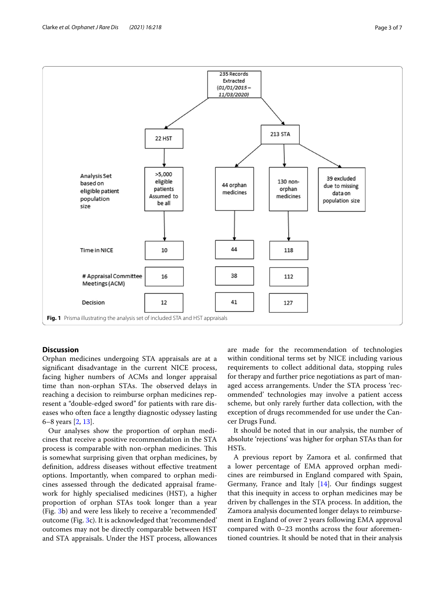

## <span id="page-2-0"></span>**Discussion**

Orphan medicines undergoing STA appraisals are at a signifcant disadvantage in the current NICE process, facing higher numbers of ACMs and longer appraisal time than non-orphan STAs. The observed delays in reaching a decision to reimburse orphan medicines represent a "double-edged sword" for patients with rare diseases who often face a lengthy diagnostic odyssey lasting 6–8 years [\[2](#page-6-1), [13\]](#page-6-12).

Our analyses show the proportion of orphan medicines that receive a positive recommendation in the STA process is comparable with non-orphan medicines. This is somewhat surprising given that orphan medicines, by defnition, address diseases without efective treatment options. Importantly, when compared to orphan medicines assessed through the dedicated appraisal framework for highly specialised medicines (HST), a higher proportion of orphan STAs took longer than a year (Fig. [3b](#page-4-0)) and were less likely to receive a 'recommended' outcome (Fig. [3c](#page-4-0)). It is acknowledged that 'recommended' outcomes may not be directly comparable between HST and STA appraisals. Under the HST process, allowances are made for the recommendation of technologies within conditional terms set by NICE including various requirements to collect additional data, stopping rules for therapy and further price negotiations as part of managed access arrangements. Under the STA process 'recommended' technologies may involve a patient access scheme, but only rarely further data collection, with the exception of drugs recommended for use under the Cancer Drugs Fund.

It should be noted that in our analysis, the number of absolute 'rejections' was higher for orphan STAs than for HSTs.

A previous report by Zamora et al. confrmed that a lower percentage of EMA approved orphan medicines are reimbursed in England compared with Spain, Germany, France and Italy  $[14]$  $[14]$ . Our findings suggest that this inequity in access to orphan medicines may be driven by challenges in the STA process. In addition, the Zamora analysis documented longer delays to reimbursement in England of over 2 years following EMA approval compared with 0–23 months across the four aforementioned countries. It should be noted that in their analysis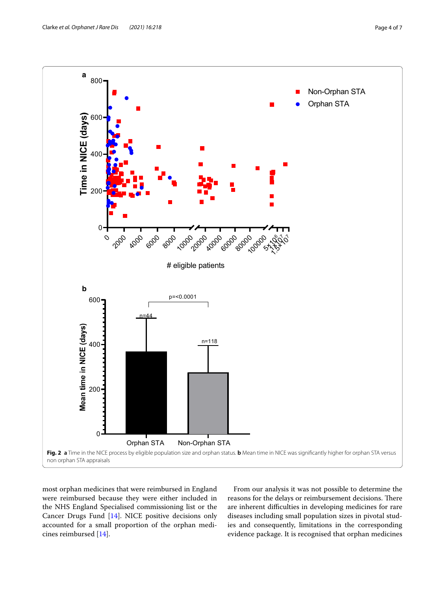

<span id="page-3-0"></span>most orphan medicines that were reimbursed in England were reimbursed because they were either included in the NHS England Specialised commissioning list or the Cancer Drugs Fund [[14\]](#page-6-13). NICE positive decisions only accounted for a small proportion of the orphan medicines reimbursed [\[14](#page-6-13)].

From our analysis it was not possible to determine the reasons for the delays or reimbursement decisions. There are inherent difficulties in developing medicines for rare diseases including small population sizes in pivotal studies and consequently, limitations in the corresponding evidence package. It is recognised that orphan medicines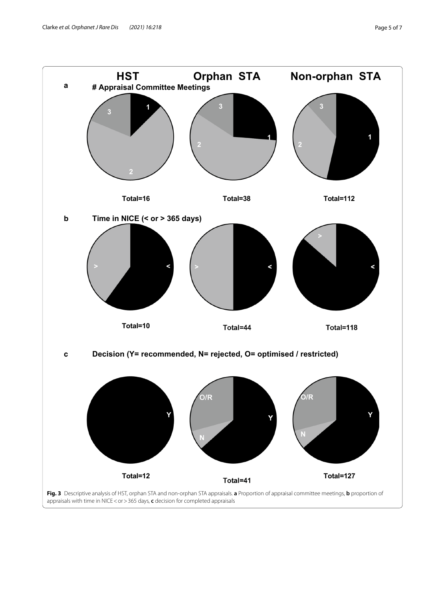<span id="page-4-0"></span>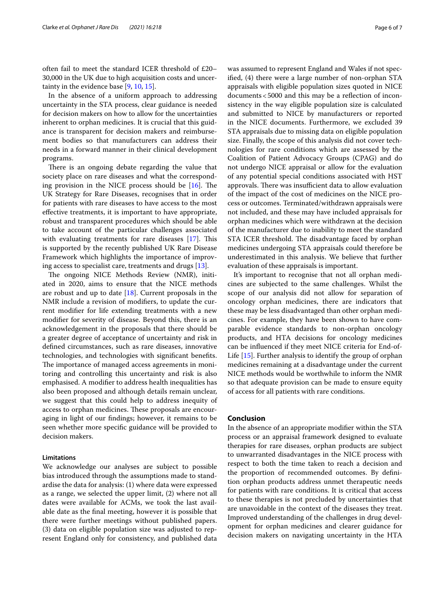often fail to meet the standard ICER threshold of £20– 30,000 in the UK due to high acquisition costs and uncertainty in the evidence base [\[9,](#page-6-8) [10](#page-6-9), [15\]](#page-6-14).

In the absence of a uniform approach to addressing uncertainty in the STA process, clear guidance is needed for decision makers on how to allow for the uncertainties inherent to orphan medicines. It is crucial that this guidance is transparent for decision makers and reimbursement bodies so that manufacturers can address their needs in a forward manner in their clinical development programs.

There is an ongoing debate regarding the value that society place on rare diseases and what the corresponding provision in the NICE process should be  $[16]$  $[16]$ . The UK Strategy for Rare Diseases, recognises that in order for patients with rare diseases to have access to the most efective treatments, it is important to have appropriate, robust and transparent procedures which should be able to take account of the particular challenges associated with evaluating treatments for rare diseases  $[17]$  $[17]$ . This is supported by the recently published UK Rare Disease Framework which highlights the importance of improving access to specialist care, treatments and drugs [\[13](#page-6-12)].

The ongoing NICE Methods Review (NMR), initiated in 2020, aims to ensure that the NICE methods are robust and up to date  $[18]$  $[18]$  $[18]$ . Current proposals in the NMR include a revision of modifers, to update the current modifer for life extending treatments with a new modifer for severity of disease. Beyond this, there is an acknowledgement in the proposals that there should be a greater degree of acceptance of uncertainty and risk in defned circumstances, such as rare diseases, innovative technologies, and technologies with signifcant benefts. The importance of managed access agreements in monitoring and controlling this uncertainty and risk is also emphasised. A modifer to address health inequalities has also been proposed and although details remain unclear, we suggest that this could help to address inequity of access to orphan medicines. These proposals are encouraging in light of our fndings; however, it remains to be seen whether more specifc guidance will be provided to decision makers.

## **Limitations**

We acknowledge our analyses are subject to possible bias introduced through the assumptions made to standardise the data for analysis: (1) where data were expressed as a range, we selected the upper limit, (2) where not all dates were available for ACMs, we took the last available date as the fnal meeting, however it is possible that there were further meetings without published papers. (3) data on eligible population size was adjusted to represent England only for consistency, and published data was assumed to represent England and Wales if not specifed, (4) there were a large number of non-orphan STA appraisals with eligible population sizes quoted in NICE documents<5000 and this may be a refection of inconsistency in the way eligible population size is calculated and submitted to NICE by manufacturers or reported in the NICE documents. Furthermore, we excluded 39 STA appraisals due to missing data on eligible population size. Finally, the scope of this analysis did not cover technologies for rare conditions which are assessed by the Coalition of Patient Advocacy Groups (CPAG) and do not undergo NICE appraisal or allow for the evaluation of any potential special conditions associated with HST approvals. There was insufficient data to allow evaluation of the impact of the cost of medicines on the NICE process or outcomes. Terminated/withdrawn appraisals were not included, and these may have included appraisals for orphan medicines which were withdrawn at the decision of the manufacturer due to inability to meet the standard STA ICER threshold. The disadvantage faced by orphan medicines undergoing STA appraisals could therefore be underestimated in this analysis. We believe that further evaluation of these appraisals is important.

It's important to recognise that not all orphan medicines are subjected to the same challenges. Whilst the scope of our analysis did not allow for separation of oncology orphan medicines, there are indicators that these may be less disadvantaged than other orphan medicines. For example, they have been shown to have comparable evidence standards to non-orphan oncology products, and HTA decisions for oncology medicines can be infuenced if they meet NICE criteria for End-of-Life [[15\]](#page-6-14). Further analysis to identify the group of orphan medicines remaining at a disadvantage under the current NICE methods would be worthwhile to inform the NMR so that adequate provision can be made to ensure equity of access for all patients with rare conditions.

## **Conclusion**

In the absence of an appropriate modifer within the STA process or an appraisal framework designed to evaluate therapies for rare diseases, orphan products are subject to unwarranted disadvantages in the NICE process with respect to both the time taken to reach a decision and the proportion of recommended outcomes. By defnition orphan products address unmet therapeutic needs for patients with rare conditions. It is critical that access to these therapies is not precluded by uncertainties that are unavoidable in the context of the diseases they treat. Improved understanding of the challenges in drug development for orphan medicines and clearer guidance for decision makers on navigating uncertainty in the HTA